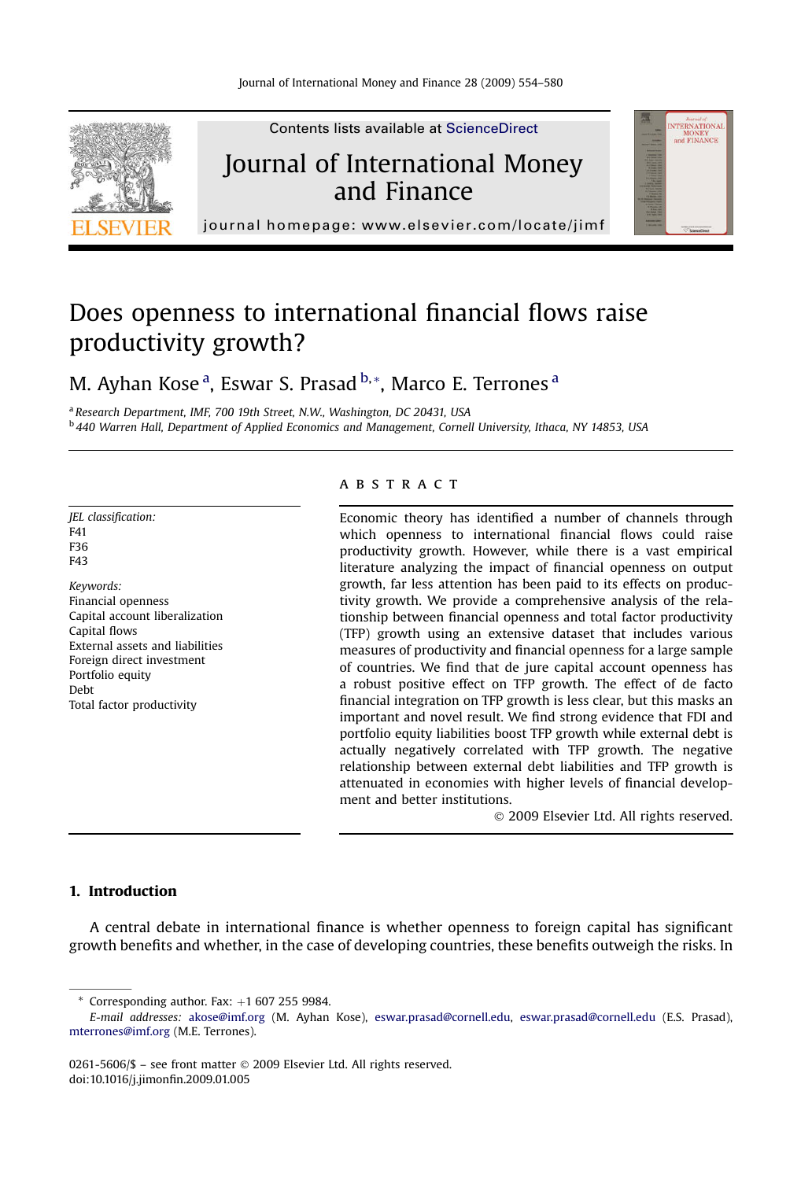

Contents lists available at [ScienceDirect](www.sciencedirect.com/science/journal/02615606)

## Journal of International Money and Finance



journal homepage:<www.elsevier.com/locate/jimf>

## Does openness to international financial flows raise productivity growth?

M. Ayhan Kose <sup>a</sup>, Eswar S. Prasad <sup>b,</sup> \*, Marco E. Terrones <sup>a</sup>

a Research Department, IMF, 700 19th Street, N.W., Washington, DC 20431, USA <sup>b</sup> 440 Warren Hall, Department of Applied Economics and Management, Cornell University, Ithaca, NY 14853, USA

JEL classification: F41 F36 F43 Keywords: Financial openness Capital account liberalization Capital flows External assets and liabilities Foreign direct investment Portfolio equity Debt

Total factor productivity

#### **ABSTRACT**

Economic theory has identified a number of channels through which openness to international financial flows could raise productivity growth. However, while there is a vast empirical literature analyzing the impact of financial openness on output growth, far less attention has been paid to its effects on productivity growth. We provide a comprehensive analysis of the relationship between financial openness and total factor productivity (TFP) growth using an extensive dataset that includes various measures of productivity and financial openness for a large sample of countries. We find that de jure capital account openness has a robust positive effect on TFP growth. The effect of de facto financial integration on TFP growth is less clear, but this masks an important and novel result. We find strong evidence that FDI and portfolio equity liabilities boost TFP growth while external debt is actually negatively correlated with TFP growth. The negative relationship between external debt liabilities and TFP growth is attenuated in economies with higher levels of financial development and better institutions.

- 2009 Elsevier Ltd. All rights reserved.

### 1. Introduction

A central debate in international finance is whether openness to foreign capital has significant growth benefits and whether, in the case of developing countries, these benefits outweigh the risks. In

 $*$  Corresponding author. Fax:  $+1$  607 255 9984.

0261-5606/\$ – see front matter © 2009 Elsevier Ltd. All rights reserved. doi:10.1016/j.jimonfin.2009.01.005

E-mail addresses: [akose@imf.org](mailto:akose@imf.org) (M. Ayhan Kose), [eswar.prasad@cornell.edu](mailto:eswar.prasad@cornell.edu), [eswar.prasad@cornell.edu](mailto:eswar.prasad@cornell.edu) (E.S. Prasad), [mterrones@imf.org](mailto:mterrones@imf.org) (M.E. Terrones).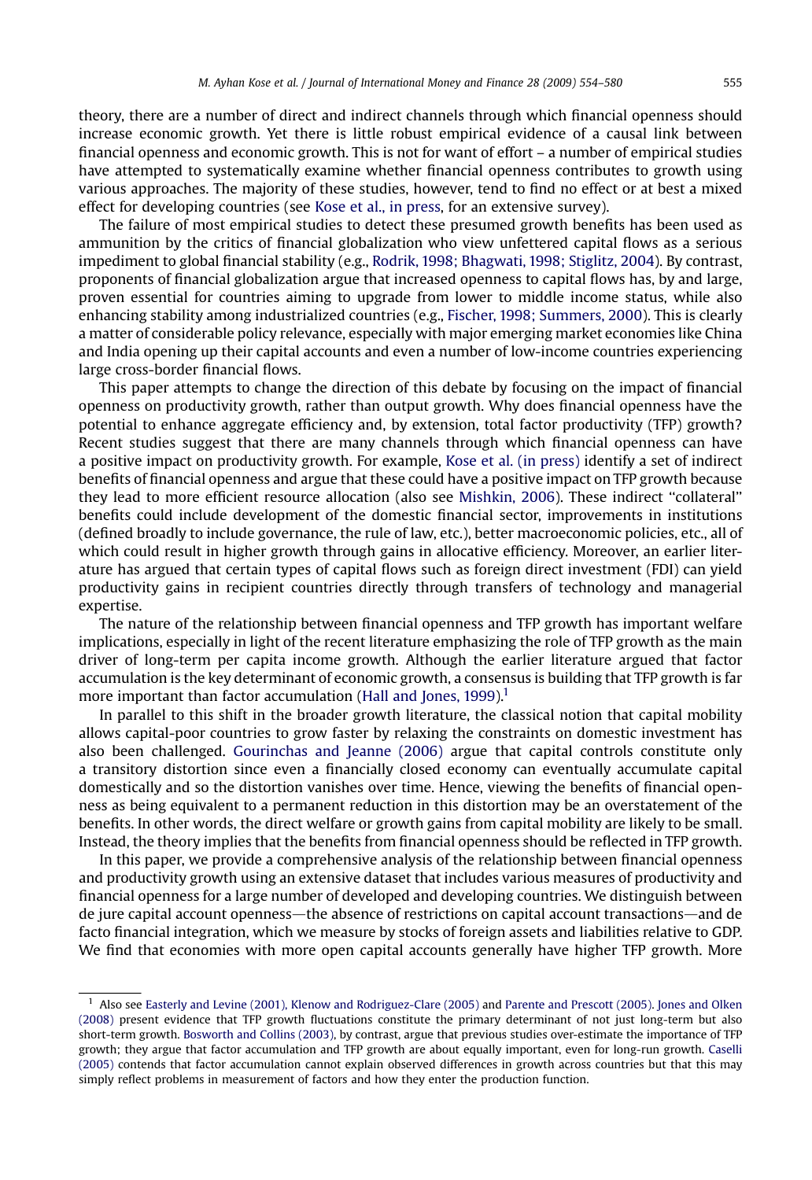theory, there are a number of direct and indirect channels through which financial openness should increase economic growth. Yet there is little robust empirical evidence of a causal link between financial openness and economic growth. This is not for want of effort – a number of empirical studies have attempted to systematically examine whether financial openness contributes to growth using various approaches. The majority of these studies, however, tend to find no effect or at best a mixed effect for developing countries (see [Kose et al., in press,](#page--1-0) for an extensive survey).

The failure of most empirical studies to detect these presumed growth benefits has been used as ammunition by the critics of financial globalization who view unfettered capital flows as a serious impediment to global financial stability (e.g., [Rodrik, 1998; Bhagwati, 1998; Stiglitz, 2004](#page--1-0)). By contrast, proponents of financial globalization argue that increased openness to capital flows has, by and large, proven essential for countries aiming to upgrade from lower to middle income status, while also enhancing stability among industrialized countries (e.g., [Fischer, 1998; Summers, 2000](#page--1-0)). This is clearly a matter of considerable policy relevance, especially with major emerging market economies like China and India opening up their capital accounts and even a number of low-income countries experiencing large cross-border financial flows.

This paper attempts to change the direction of this debate by focusing on the impact of financial openness on productivity growth, rather than output growth. Why does financial openness have the potential to enhance aggregate efficiency and, by extension, total factor productivity (TFP) growth? Recent studies suggest that there are many channels through which financial openness can have a positive impact on productivity growth. For example, [Kose et al. \(in press\)](#page--1-0) identify a set of indirect benefits of financial openness and argue that these could have a positive impact on TFP growth because they lead to more efficient resource allocation (also see [Mishkin, 2006\)](#page--1-0). These indirect ''collateral'' benefits could include development of the domestic financial sector, improvements in institutions (defined broadly to include governance, the rule of law, etc.), better macroeconomic policies, etc., all of which could result in higher growth through gains in allocative efficiency. Moreover, an earlier literature has argued that certain types of capital flows such as foreign direct investment (FDI) can yield productivity gains in recipient countries directly through transfers of technology and managerial expertise.

The nature of the relationship between financial openness and TFP growth has important welfare implications, especially in light of the recent literature emphasizing the role of TFP growth as the main driver of long-term per capita income growth. Although the earlier literature argued that factor accumulation is the key determinant of economic growth, a consensus is building that TFP growth is far more important than factor accumulation (Hall and Jones,  $1999$ ).<sup>1</sup>

In parallel to this shift in the broader growth literature, the classical notion that capital mobility allows capital-poor countries to grow faster by relaxing the constraints on domestic investment has also been challenged. [Gourinchas and Jeanne \(2006\)](#page--1-0) argue that capital controls constitute only a transitory distortion since even a financially closed economy can eventually accumulate capital domestically and so the distortion vanishes over time. Hence, viewing the benefits of financial openness as being equivalent to a permanent reduction in this distortion may be an overstatement of the benefits. In other words, the direct welfare or growth gains from capital mobility are likely to be small. Instead, the theory implies that the benefits from financial openness should be reflected in TFP growth.

In this paper, we provide a comprehensive analysis of the relationship between financial openness and productivity growth using an extensive dataset that includes various measures of productivity and financial openness for a large number of developed and developing countries. We distinguish between de jure capital account openness—the absence of restrictions on capital account transactions—and de facto financial integration, which we measure by stocks of foreign assets and liabilities relative to GDP. We find that economies with more open capital accounts generally have higher TFP growth. More

<sup>1</sup> Also see [Easterly and Levine \(2001\), Klenow and Rodriguez-Clare \(2005\)](#page--1-0) and [Parente and Prescott \(2005\).](#page--1-0) [Jones and Olken](#page--1-0) [\(2008\)](#page--1-0) present evidence that TFP growth fluctuations constitute the primary determinant of not just long-term but also short-term growth. [Bosworth and Collins \(2003\)](#page--1-0), by contrast, argue that previous studies over-estimate the importance of TFP growth; they argue that factor accumulation and TFP growth are about equally important, even for long-run growth. [Caselli](#page--1-0) [\(2005\)](#page--1-0) contends that factor accumulation cannot explain observed differences in growth across countries but that this may simply reflect problems in measurement of factors and how they enter the production function.